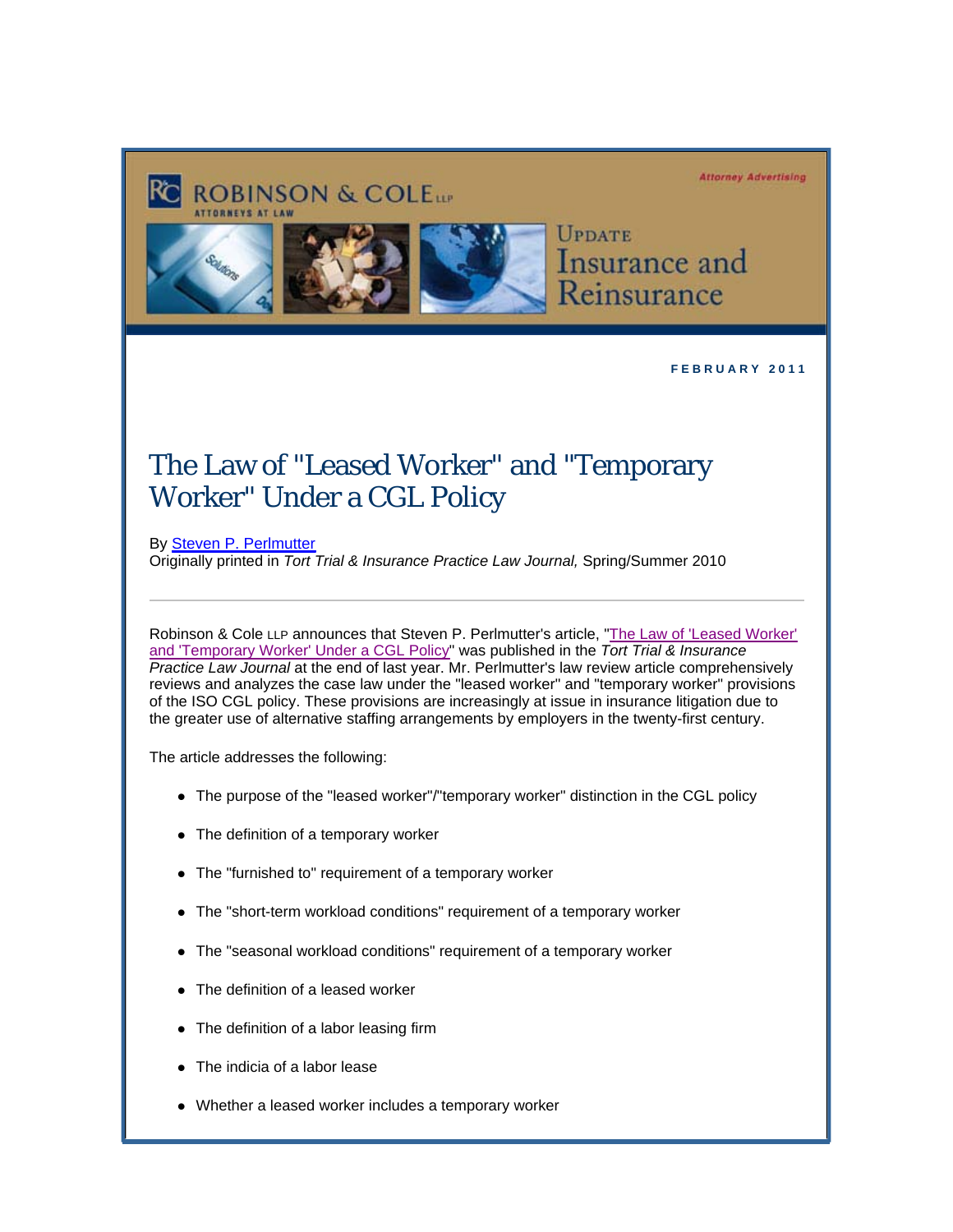## **Attorney Advertising**





**ROBINSON & COLETT** 

**UPDATE** Insurance and Reinsurance

**F E B R U A R Y 2 0 1 1** 

## The Law of "Leased Worker" and "Temporary Worker" Under a CGL Policy

By [Steven P. Perlmutter](http://www.rc.com/Bio.cfm?eID=739) Originally printed in *Tort Trial & Insurance Practice Law Journal,* Spring/Summer 2010

[Robinson & Cole LLP announces that Steven P. Perlmutter's article, "The Law of 'Leased Worker'](http://image.exct.net/lib/fefb1671756c0d/d/1/TIPS-Law-of-Leased-and-Temp-Worker-Article-Perlmutter.pdf) and 'Temporary Worker' Under a CGL Policy" was published in the *Tort Trial & Insurance Practice Law Journal* at the end of last year. Mr. Perlmutter's law review article comprehensively reviews and analyzes the case law under the "leased worker" and "temporary worker" provisions of the ISO CGL policy. These provisions are increasingly at issue in insurance litigation due to the greater use of alternative staffing arrangements by employers in the twenty-first century.

The article addresses the following:

- The purpose of the "leased worker"/"temporary worker" distinction in the CGL policy
- The definition of a temporary worker
- The "furnished to" requirement of a temporary worker
- The "short-term workload conditions" requirement of a temporary worker
- The "seasonal workload conditions" requirement of a temporary worker
- The definition of a leased worker
- The definition of a labor leasing firm
- The indicia of a labor lease
- Whether a leased worker includes a temporary worker